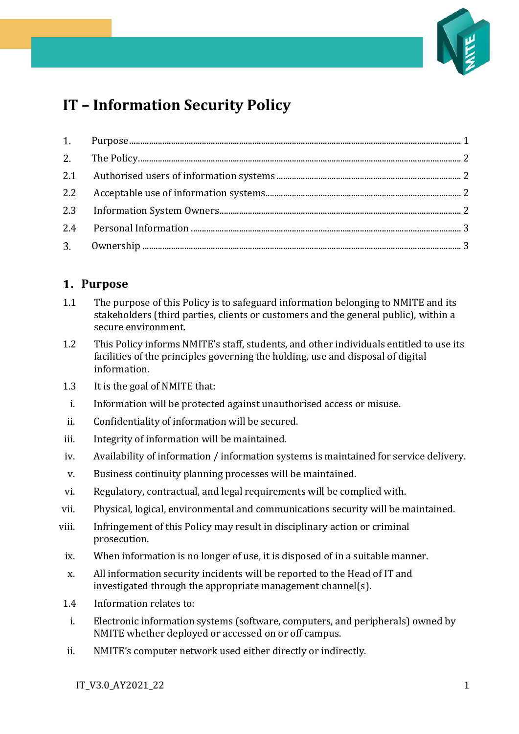

# **IT – Information Security Policy**

## <span id="page-0-0"></span>**Purpose**

- 1.1 The purpose of this Policy is to safeguard information belonging to NMITE and its stakeholders (third parties, clients or customers and the general public), within a secure environment.
- 1.2 This Policy informs NMITE's staff, students, and other individuals entitled to use its facilities of the principles governing the holding, use and disposal of digital information.
- 1.3 It is the goal of NMITE that:
- i. Information will be protected against unauthorised access or misuse.
- ii. Confidentiality of information will be secured.
- iii. Integrity of information will be maintained.
- iv. Availability of information / information systems is maintained for service delivery.
- v. Business continuity planning processes will be maintained.
- vi. Regulatory, contractual, and legal requirements will be complied with.
- vii. Physical, logical, environmental and communications security will be maintained.
- viii. Infringement of this Policy may result in disciplinary action or criminal prosecution.
- ix. When information is no longer of use, it is disposed of in a suitable manner.
- x. All information security incidents will be reported to the Head of IT and investigated through the appropriate management channel(s).
- 1.4 Information relates to:
- i. Electronic information systems (software, computers, and peripherals) owned by NMITE whether deployed or accessed on or off campus.
- ii. NMITE's computer network used either directly or indirectly.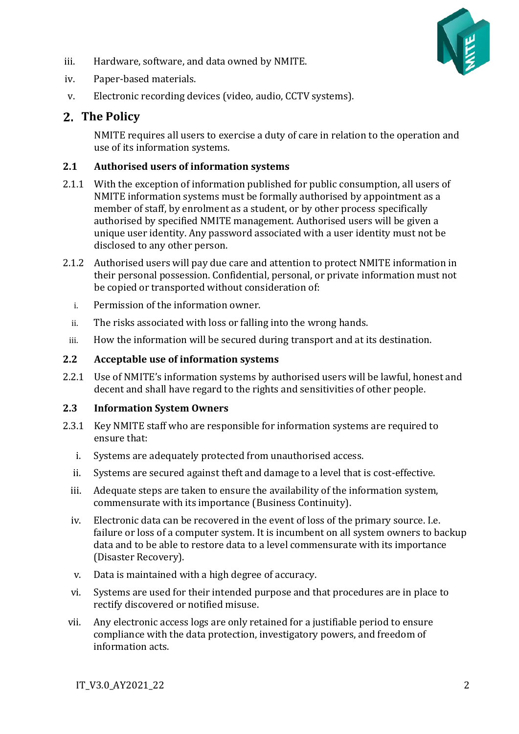

- iii. Hardware, software, and data owned by NMITE.
- iv. Paper-based materials.
- v. Electronic recording devices (video, audio, CCTV systems).

## <span id="page-1-0"></span>**The Policy**

NMITE requires all users to exercise a duty of care in relation to the operation and use of its information systems.

#### <span id="page-1-1"></span>**2.1 Authorised users of information systems**

- 2.1.1 With the exception of information published for public consumption, all users of NMITE information systems must be formally authorised by appointment as a member of staff, by enrolment as a student, or by other process specifically authorised by specified NMITE management. Authorised users will be given a unique user identity. Any password associated with a user identity must not be disclosed to any other person.
- 2.1.2 Authorised users will pay due care and attention to protect NMITE information in their personal possession. Confidential, personal, or private information must not be copied or transported without consideration of:
	- i. Permission of the information owner.
	- ii. The risks associated with loss or falling into the wrong hands.
- iii. How the information will be secured during transport and at its destination.

#### <span id="page-1-2"></span>**2.2 Acceptable use of information systems**

2.2.1 Use of NMITE's information systems by authorised users will be lawful, honest and decent and shall have regard to the rights and sensitivities of other people.

#### <span id="page-1-3"></span>**2.3 Information System Owners**

- 2.3.1 Key NMITE staff who are responsible for information systems are required to ensure that:
	- i. Systems are adequately protected from unauthorised access.
	- ii. Systems are secured against theft and damage to a level that is cost-effective.
	- iii. Adequate steps are taken to ensure the availability of the information system, commensurate with its importance (Business Continuity).
	- iv. Electronic data can be recovered in the event of loss of the primary source. I.e. failure or loss of a computer system. It is incumbent on all system owners to backup data and to be able to restore data to a level commensurate with its importance (Disaster Recovery).
	- v. Data is maintained with a high degree of accuracy.
	- vi. Systems are used for their intended purpose and that procedures are in place to rectify discovered or notified misuse.
	- vii. Any electronic access logs are only retained for a justifiable period to ensure compliance with the data protection, investigatory powers, and freedom of information acts.